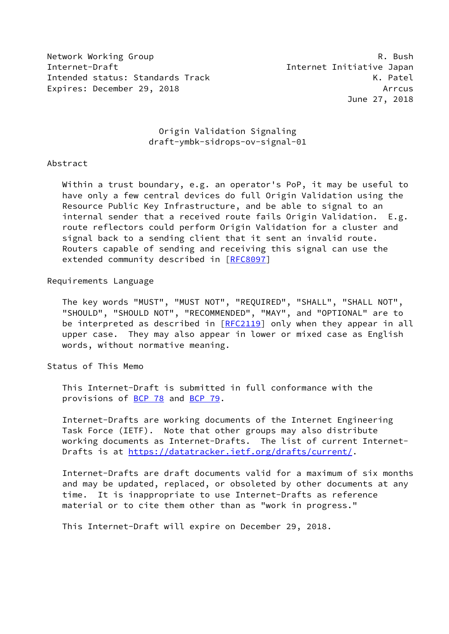Network Working Group **R. Bush** R. Bush Internet-Draft Internet Initiative Japan Intended status: Standards Track K. Patel Expires: December 29, 2018 and the contract of the contract of the contract of the contract of the contract of the contract of the contract of the contract of the contract of the contract of the contract of the contract of

June 27, 2018

# Origin Validation Signaling draft-ymbk-sidrops-ov-signal-01

### Abstract

 Within a trust boundary, e.g. an operator's PoP, it may be useful to have only a few central devices do full Origin Validation using the Resource Public Key Infrastructure, and be able to signal to an internal sender that a received route fails Origin Validation. E.g. route reflectors could perform Origin Validation for a cluster and signal back to a sending client that it sent an invalid route. Routers capable of sending and receiving this signal can use the extended community described in [\[RFC8097](https://datatracker.ietf.org/doc/pdf/rfc8097)]

# Requirements Language

 The key words "MUST", "MUST NOT", "REQUIRED", "SHALL", "SHALL NOT", "SHOULD", "SHOULD NOT", "RECOMMENDED", "MAY", and "OPTIONAL" are to be interpreted as described in [\[RFC2119](https://datatracker.ietf.org/doc/pdf/rfc2119)] only when they appear in all upper case. They may also appear in lower or mixed case as English words, without normative meaning.

Status of This Memo

 This Internet-Draft is submitted in full conformance with the provisions of [BCP 78](https://datatracker.ietf.org/doc/pdf/bcp78) and [BCP 79](https://datatracker.ietf.org/doc/pdf/bcp79).

 Internet-Drafts are working documents of the Internet Engineering Task Force (IETF). Note that other groups may also distribute working documents as Internet-Drafts. The list of current Internet- Drafts is at<https://datatracker.ietf.org/drafts/current/>.

 Internet-Drafts are draft documents valid for a maximum of six months and may be updated, replaced, or obsoleted by other documents at any time. It is inappropriate to use Internet-Drafts as reference material or to cite them other than as "work in progress."

This Internet-Draft will expire on December 29, 2018.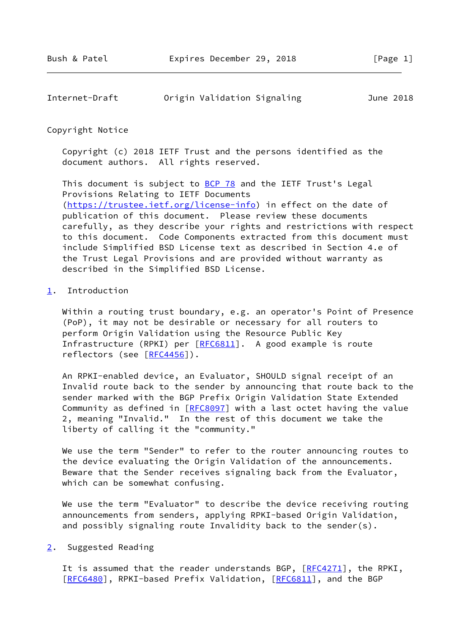| Internet-Draft | Origin Validation Signaling | June 2018 |  |
|----------------|-----------------------------|-----------|--|
|                |                             |           |  |

#### Copyright Notice

 Copyright (c) 2018 IETF Trust and the persons identified as the document authors. All rights reserved.

This document is subject to **[BCP 78](https://datatracker.ietf.org/doc/pdf/bcp78)** and the IETF Trust's Legal Provisions Relating to IETF Documents [\(https://trustee.ietf.org/license-info](https://trustee.ietf.org/license-info)) in effect on the date of publication of this document. Please review these documents carefully, as they describe your rights and restrictions with respect to this document. Code Components extracted from this document must include Simplified BSD License text as described in Section 4.e of the Trust Legal Provisions and are provided without warranty as described in the Simplified BSD License.

# <span id="page-1-0"></span>[1](#page-1-0). Introduction

 Within a routing trust boundary, e.g. an operator's Point of Presence (PoP), it may not be desirable or necessary for all routers to perform Origin Validation using the Resource Public Key Infrastructure (RPKI) per [[RFC6811](https://datatracker.ietf.org/doc/pdf/rfc6811)]. A good example is route reflectors (see [\[RFC4456](https://datatracker.ietf.org/doc/pdf/rfc4456)]).

 An RPKI-enabled device, an Evaluator, SHOULD signal receipt of an Invalid route back to the sender by announcing that route back to the sender marked with the BGP Prefix Origin Validation State Extended Community as defined in [\[RFC8097](https://datatracker.ietf.org/doc/pdf/rfc8097)] with a last octet having the value 2, meaning "Invalid." In the rest of this document we take the liberty of calling it the "community."

 We use the term "Sender" to refer to the router announcing routes to the device evaluating the Origin Validation of the announcements. Beware that the Sender receives signaling back from the Evaluator, which can be somewhat confusing.

 We use the term "Evaluator" to describe the device receiving routing announcements from senders, applying RPKI-based Origin Validation, and possibly signaling route Invalidity back to the sender(s).

### <span id="page-1-1"></span>[2](#page-1-1). Suggested Reading

It is assumed that the reader understands BGP, [\[RFC4271](https://datatracker.ietf.org/doc/pdf/rfc4271)], the RPKI, [\[RFC6480](https://datatracker.ietf.org/doc/pdf/rfc6480)], RPKI-based Prefix Validation, [\[RFC6811](https://datatracker.ietf.org/doc/pdf/rfc6811)], and the BGP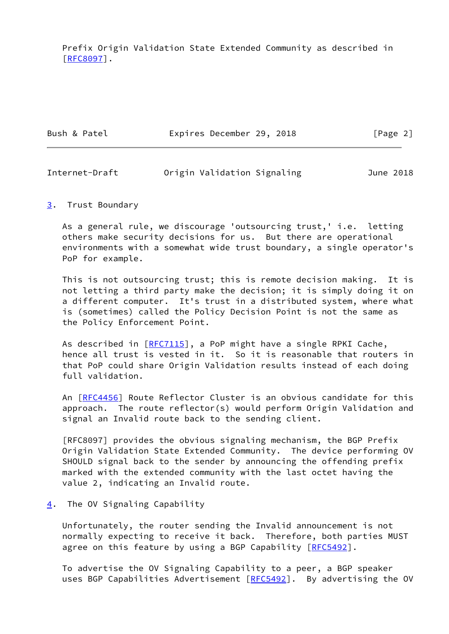Prefix Origin Validation State Extended Community as described in [\[RFC8097](https://datatracker.ietf.org/doc/pdf/rfc8097)].

Bush & Patel **Expires December 29, 2018** [Page 2]

Internet-Draft Origin Validation Signaling June 2018

### <span id="page-2-0"></span>[3](#page-2-0). Trust Boundary

 As a general rule, we discourage 'outsourcing trust,' i.e. letting others make security decisions for us. But there are operational environments with a somewhat wide trust boundary, a single operator's PoP for example.

 This is not outsourcing trust; this is remote decision making. It is not letting a third party make the decision; it is simply doing it on a different computer. It's trust in a distributed system, where what is (sometimes) called the Policy Decision Point is not the same as the Policy Enforcement Point.

As described in [\[RFC7115](https://datatracker.ietf.org/doc/pdf/rfc7115)], a PoP might have a single RPKI Cache, hence all trust is vested in it. So it is reasonable that routers in that PoP could share Origin Validation results instead of each doing full validation.

An [[RFC4456\]](https://datatracker.ietf.org/doc/pdf/rfc4456) Route Reflector Cluster is an obvious candidate for this approach. The route reflector(s) would perform Origin Validation and signal an Invalid route back to the sending client.

 [RFC8097] provides the obvious signaling mechanism, the BGP Prefix Origin Validation State Extended Community. The device performing OV SHOULD signal back to the sender by announcing the offending prefix marked with the extended community with the last octet having the value 2, indicating an Invalid route.

# <span id="page-2-1"></span>[4](#page-2-1). The OV Signaling Capability

 Unfortunately, the router sending the Invalid announcement is not normally expecting to receive it back. Therefore, both parties MUST agree on this feature by using a BGP Capability [\[RFC5492](https://datatracker.ietf.org/doc/pdf/rfc5492)].

 To advertise the OV Signaling Capability to a peer, a BGP speaker uses BGP Capabilities Advertisement [\[RFC5492](https://datatracker.ietf.org/doc/pdf/rfc5492)]. By advertising the OV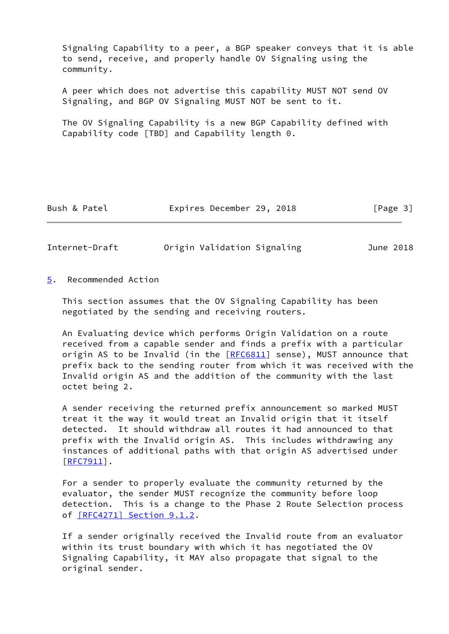Signaling Capability to a peer, a BGP speaker conveys that it is able to send, receive, and properly handle OV Signaling using the community.

 A peer which does not advertise this capability MUST NOT send OV Signaling, and BGP OV Signaling MUST NOT be sent to it.

 The OV Signaling Capability is a new BGP Capability defined with Capability code [TBD] and Capability length 0.

Bush & Patel **Expires December 29, 2018** [Page 3]

Internet-Draft Origin Validation Signaling June 2018

<span id="page-3-0"></span>[5](#page-3-0). Recommended Action

 This section assumes that the OV Signaling Capability has been negotiated by the sending and receiving routers.

 An Evaluating device which performs Origin Validation on a route received from a capable sender and finds a prefix with a particular origin AS to be Invalid (in the [\[RFC6811](https://datatracker.ietf.org/doc/pdf/rfc6811)] sense), MUST announce that prefix back to the sending router from which it was received with the Invalid origin AS and the addition of the community with the last octet being 2.

 A sender receiving the returned prefix announcement so marked MUST treat it the way it would treat an Invalid origin that it itself detected. It should withdraw all routes it had announced to that prefix with the Invalid origin AS. This includes withdrawing any instances of additional paths with that origin AS advertised under [\[RFC7911](https://datatracker.ietf.org/doc/pdf/rfc7911)].

 For a sender to properly evaluate the community returned by the evaluator, the sender MUST recognize the community before loop detection. This is a change to the Phase 2 Route Selection process of [\[RFC4271\] Section](https://datatracker.ietf.org/doc/pdf/rfc4271#section-9.1.2) 9.1.2.

 If a sender originally received the Invalid route from an evaluator within its trust boundary with which it has negotiated the OV Signaling Capability, it MAY also propagate that signal to the original sender.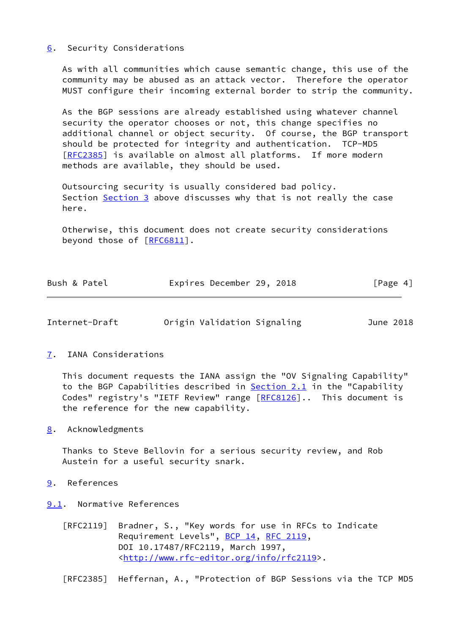### <span id="page-4-0"></span>[6](#page-4-0). Security Considerations

 As with all communities which cause semantic change, this use of the community may be abused as an attack vector. Therefore the operator MUST configure their incoming external border to strip the community.

 As the BGP sessions are already established using whatever channel security the operator chooses or not, this change specifies no additional channel or object security. Of course, the BGP transport should be protected for integrity and authentication. TCP-MD5 [\[RFC2385](https://datatracker.ietf.org/doc/pdf/rfc2385)] is available on almost all platforms. If more modern methods are available, they should be used.

 Outsourcing security is usually considered bad policy. Section [Section 3](#page-2-0) above discusses why that is not really the case here.

 Otherwise, this document does not create security considerations beyond those of [\[RFC6811](https://datatracker.ietf.org/doc/pdf/rfc6811)].

| Bush & Patel | Expires December 29, 2018 |  | [Page 4] |
|--------------|---------------------------|--|----------|
|              |                           |  |          |

| Internet-Draft | Origin Validation Signaling | June 2018 |  |
|----------------|-----------------------------|-----------|--|
|                |                             |           |  |

### <span id="page-4-1"></span>[7](#page-4-1). IANA Considerations

 This document requests the IANA assign the "OV Signaling Capability" to the BGP Capabilities described in Section 2.1 in the "Capability Codes" registry's "IETF Review" range [[RFC8126](https://datatracker.ietf.org/doc/pdf/rfc8126)].. This document is the reference for the new capability.

<span id="page-4-2"></span>[8](#page-4-2). Acknowledgments

 Thanks to Steve Bellovin for a serious security review, and Rob Austein for a useful security snark.

- <span id="page-4-3"></span>[9](#page-4-3). References
- <span id="page-4-4"></span>[9.1](#page-4-4). Normative References
	- [RFC2119] Bradner, S., "Key words for use in RFCs to Indicate Requirement Levels", [BCP 14](https://datatracker.ietf.org/doc/pdf/bcp14), [RFC 2119](https://datatracker.ietf.org/doc/pdf/rfc2119), DOI 10.17487/RFC2119, March 1997, <<http://www.rfc-editor.org/info/rfc2119>>.

[RFC2385] Heffernan, A., "Protection of BGP Sessions via the TCP MD5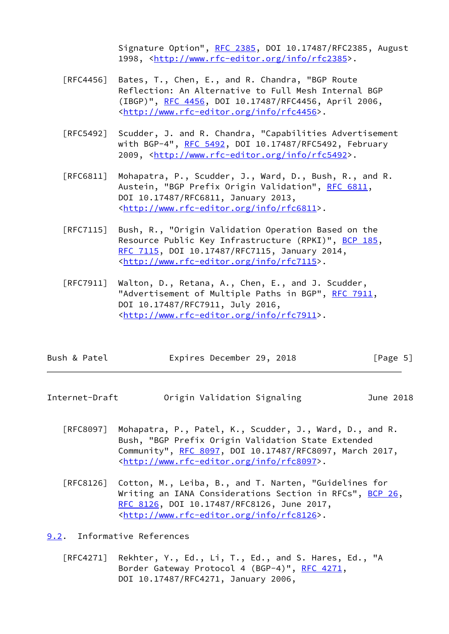Signature Option", [RFC 2385](https://datatracker.ietf.org/doc/pdf/rfc2385), DOI 10.17487/RFC2385, August 1998, [<http://www.rfc-editor.org/info/rfc2385](http://www.rfc-editor.org/info/rfc2385)>.

- [RFC4456] Bates, T., Chen, E., and R. Chandra, "BGP Route Reflection: An Alternative to Full Mesh Internal BGP (IBGP)", [RFC 4456,](https://datatracker.ietf.org/doc/pdf/rfc4456) DOI 10.17487/RFC4456, April 2006, <<http://www.rfc-editor.org/info/rfc4456>>.
- [RFC5492] Scudder, J. and R. Chandra, "Capabilities Advertisement with BGP-4", [RFC 5492](https://datatracker.ietf.org/doc/pdf/rfc5492), DOI 10.17487/RFC5492, February 2009, [<http://www.rfc-editor.org/info/rfc5492](http://www.rfc-editor.org/info/rfc5492)>.
- [RFC6811] Mohapatra, P., Scudder, J., Ward, D., Bush, R., and R. Austein, "BGP Prefix Origin Validation", [RFC 6811,](https://datatracker.ietf.org/doc/pdf/rfc6811) DOI 10.17487/RFC6811, January 2013, <<http://www.rfc-editor.org/info/rfc6811>>.
- [RFC7115] Bush, R., "Origin Validation Operation Based on the Resource Public Key Infrastructure (RPKI)", [BCP 185](https://datatracker.ietf.org/doc/pdf/bcp185), [RFC 7115,](https://datatracker.ietf.org/doc/pdf/rfc7115) DOI 10.17487/RFC7115, January 2014, <<http://www.rfc-editor.org/info/rfc7115>>.
- [RFC7911] Walton, D., Retana, A., Chen, E., and J. Scudder, "Advertisement of Multiple Paths in BGP", [RFC 7911](https://datatracker.ietf.org/doc/pdf/rfc7911), DOI 10.17487/RFC7911, July 2016, <<http://www.rfc-editor.org/info/rfc7911>>.

| Bush & Patel | Expires December 29, 2018 |  | [Page 5] |
|--------------|---------------------------|--|----------|
|--------------|---------------------------|--|----------|

- Internet-Draft Origin Validation Signaling June 2018
	- [RFC8097] Mohapatra, P., Patel, K., Scudder, J., Ward, D., and R. Bush, "BGP Prefix Origin Validation State Extended Community", [RFC 8097,](https://datatracker.ietf.org/doc/pdf/rfc8097) DOI 10.17487/RFC8097, March 2017, <<http://www.rfc-editor.org/info/rfc8097>>.
	- [RFC8126] Cotton, M., Leiba, B., and T. Narten, "Guidelines for Writing an IANA Considerations Section in RFCs", [BCP 26](https://datatracker.ietf.org/doc/pdf/bcp26), [RFC 8126,](https://datatracker.ietf.org/doc/pdf/rfc8126) DOI 10.17487/RFC8126, June 2017, <<http://www.rfc-editor.org/info/rfc8126>>.

<span id="page-5-0"></span>[9.2](#page-5-0). Informative References

 [RFC4271] Rekhter, Y., Ed., Li, T., Ed., and S. Hares, Ed., "A Border Gateway Protocol 4 (BGP-4)", [RFC 4271,](https://datatracker.ietf.org/doc/pdf/rfc4271) DOI 10.17487/RFC4271, January 2006,